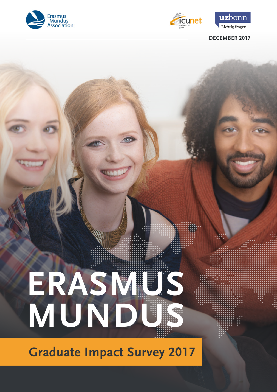



uzbonn Richtig fragen.

## **DECEMBER 2017**

# **ERASMUS MUNDUS**

**Graduate Impact Survey 2017**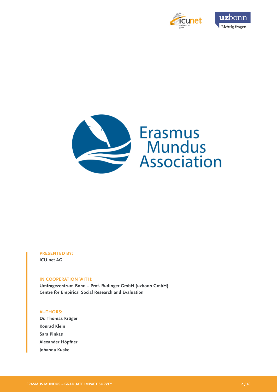





#### **PRESENTED BY: ICU.net AG**

#### **IN COOPERATION WITH:**

**Umfragezentrum Bonn – Prof. Rudinger GmbH (uzbonn GmbH) Centre for Empirical Social Research and Evaluation**

#### **AUTHORS:**

**Dr. Thomas Krüger Konrad Klein Sara Pinkas Alexander Höpfner Johanna Kuske**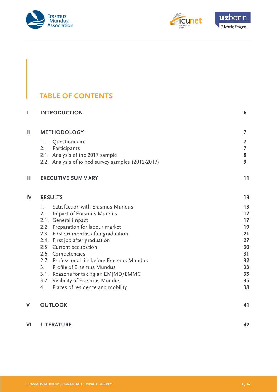



# **TABLE OF CONTENTS**

| I  | <b>INTRODUCTION</b>                                                        | 6        |
|----|----------------------------------------------------------------------------|----------|
| Ш  | <b>METHODOLOGY</b>                                                         | 7        |
|    | Questionnaire<br>1.                                                        | 7        |
|    | 2.<br>Participants                                                         | 7        |
|    | 2.1. Analysis of the 2017 sample                                           | 8        |
|    | 2.2. Analysis of joined survey samples (2012-2017)                         | 9        |
| Ш  | <b>EXECUTIVE SUMMARY</b>                                                   | 11       |
| IV | <b>RESULTS</b>                                                             | 13       |
|    | Satisfaction with Erasmus Mundus<br>1.                                     | 13       |
|    | Impact of Erasmus Mundus<br>2.                                             | 17       |
|    | 2.1. General impact                                                        | 17       |
|    | 2.2. Preparation for labour market                                         | 19       |
|    | 2.3. First six months after graduation                                     | 21       |
|    | 2.4. First job after graduation                                            | 27       |
|    | 2.5. Current occupation                                                    | 30       |
|    | 2.6. Competencies                                                          | 31       |
|    | 2.7. Professional life before Erasmus Mundus                               | 32       |
|    | Profile of Erasmus Mundus<br>3 <sub>1</sub>                                | 33<br>33 |
|    | 3.1. Reasons for taking an EMJMD/EMMC<br>3.2. Visibility of Erasmus Mundus | 35       |
|    | Places of residence and mobility<br>4.                                     | 38       |
|    |                                                                            |          |
| V  | <b>OUTLOOK</b>                                                             | 41       |
| VI | <b>LITERATURE</b>                                                          | 42       |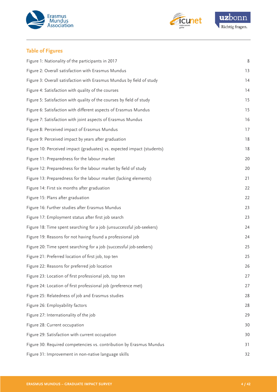



## **Table of Figures**

| Figure 1: Nationality of the participants in 2017                      | 8  |
|------------------------------------------------------------------------|----|
| Figure 2: Overall satisfaction with Erasmus Mundus                     | 13 |
| Figure 3: Overall satisfaction with Erasmus Mundus by field of study   | 14 |
| Figure 4: Satisfaction with quality of the courses                     | 14 |
| Figure 5: Satisfaction with quality of the courses by field of study   | 15 |
| Figure 6: Satisfaction with different aspects of Erasmus Mundus        | 15 |
| Figure 7: Satisfaction with joint aspects of Erasmus Mundus            | 16 |
| Figure 8: Perceived impact of Erasmus Mundus                           | 17 |
| Figure 9: Perceived impact by years after graduation                   | 18 |
| Figure 10: Perceived impact (graduates) vs. expected impact (students) | 18 |
| Figure 11: Preparedness for the labour market                          | 20 |
| Figure 12: Preparedness for the labour market by field of study        | 20 |
| Figure 13: Preparedness for the labour market (lacking elements)       | 21 |
| Figure 14: First six months after graduation                           | 22 |
| Figure 15: Plans after graduation                                      | 22 |
| Figure 16: Further studies after Erasmus Mundus                        | 23 |
| Figure 17: Employment status after first job search                    | 23 |
| Figure 18: Time spent searching for a job (unsuccessful job-seekers)   | 24 |
| Figure 19: Reasons for not having found a professional job             | 24 |
| Figure 20: Time spent searching for a job (successful job-seekers)     | 25 |
| Figure 21: Preferred location of first job, top ten                    | 25 |
| Figure 22: Reasons for preferred job location                          | 26 |
| Figure 23: Location of first professional job, top ten                 | 27 |
| Figure 24: Location of first professional job (preference met)         | 27 |
| Figure 25: Relatedness of job and Erasmus studies                      | 28 |
| Figure 26: Employability factors                                       | 28 |
| Figure 27: Internationality of the job                                 | 29 |
| Figure 28: Current occupation                                          | 30 |
| Figure 29: Satisfaction with current occupation                        | 30 |
| Figure 30: Required competencies vs. contribution by Erasmus Mundus    | 31 |
| Figure 31: Improvement in non-native language skills                   | 32 |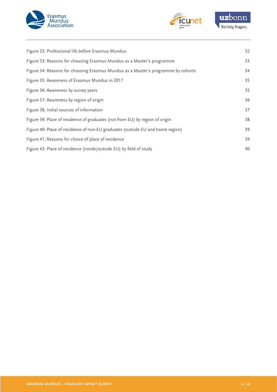



| Figure 32: Professional life before Erasmus Mundus                                | 32 |
|-----------------------------------------------------------------------------------|----|
| Figure 33: Reasons for choosing Erasmus Mundus as a Master's programme            | 33 |
| Figure 34: Reasons for choosing Erasmus Mundus as a Master's programme by cohorts | 34 |
| Figure 35: Awareness of Erasmus Mundus in 2017                                    | 35 |
| Figure 36: Awareness by survey years                                              | 35 |
| Figure 37: Awareness by region of origin                                          | 36 |
| Figure 38: Initial sources of information                                         | 37 |
| Figure 39: Place of residence of graduates (not from EU) by region of origin      | 38 |
| Figure 40: Place of residence of non-EU graduates (outside EU and home region)    | 39 |
| Figure 41: Reasons for choice of place of residence                               | 39 |
| Figure 42: Place of residence (inside/outside EU) by field of study               | 40 |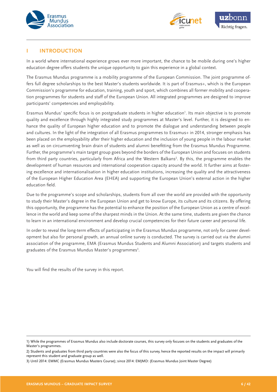<span id="page-5-0"></span>



#### **I INTRODUCTION**

In a world where international experience grows ever more important, the chance to be mobile during one's higher education degree offers students the unique opportunity to gain this experience in a global context.

The Erasmus Mundus programme is a mobility programme of the European Commission. The joint programme offers full degree scholarships to the best Master's students worldwide. It is part of Erasmus+, which is the European Commission's programme for education, training, youth and sport, which combines all former mobility and cooperation programmes for students and staff of the European Union. All integrated programmes are designed to improve participants' competencies and employability.

Erasmus Mundus' specific focus is on postgraduate students in higher education<sup>1</sup>. Its main objective is to promote quality and excellence through highly integrated study programmes at Master's level. Further, it is designed to enhance the quality of European higher education and to promote the dialogue and understanding between people and cultures. In the light of the integration of all Erasmus programmes to Erasmus+ in 2014, stronger emphasis has been placed on the employability after their higher education and the inclusion of young people in the labour market as well as on circumventing brain drain of students and alumni benefitting from the Erasmus Mundus Programme. Further, the programme's main target group goes beyond the borders of the European Union and focuses on students from third party countries, particularly from Africa and the Western Balkans<sup>2</sup>. By this, the programme enables the development of human resources and international cooperation capacity around the world. It further aims at fostering excellence and internationalisation in higher education institutions, increasing the quality and the attractiveness of the European Higher Education Area (EHEA) and supporting the European Union's external action in the higher education field.

Due to the programme's scope and scholarships, students from all over the world are provided with the opportunity to study their Master's degree in the European Union and get to know Europe, its culture and its citizens. By offering this opportunity, the programme has the potential to enhance the position of the European Union as a centre of excellence in the world and keep some of the sharpest minds in the Union. At the same time, students are given the chance to learn in an international environment and develop crucial competencies for their future career and personal life.

In order to reveal the long-term effects of participating in the Erasmus Mundus programme, not only for career development but also for personal growth, an annual online survey is conducted. The survey is carried out via the alumni association of the programme, EMA (Erasmus Mundus Students and Alumni Association) and targets students and graduates of the Erasmus Mundus Master's programmes<sup>3</sup>.

You will find the results of the survey in this report.

<sup>1)</sup> While the programmes of Erasmus Mundus also include doctorate courses, this survey only focuses on the students and graduates of the Master's programmes.

<sup>2)</sup> Students and graduates from third party countries were also the focus of this survey, hence the reported results on the impact will primarily represent this student and graduate group as well.

<sup>3)</sup> Until 2014: EMMC (Erasmus Mundus Masters Course); since 2014: EMJMD: (Erasmus Mundus Joint Master Degree)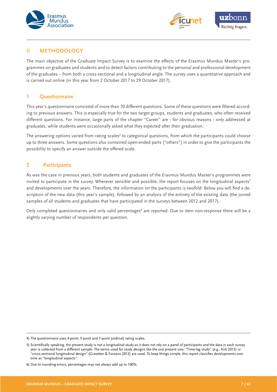



## **II METHODOLOGY**

The main objective of the Graduate Impact Survey is to examine the effects of the Erasmus Mundus Master's programmes on graduates and students and to detect factors contributing to the personal and professional development of the graduates – from both a cross-sectional and a longitudinal angle. The survey uses a quantitative approach and is carried out online (in this year from 2 October 2017 to 29 October 2017).

## **1 Questionnaire**

This year's questionnaire consisted of more than 70 different questions. Some of these questions were filtered according to previous answers. This is especially true for the two target groups, students and graduates, who often received different questions. For instance, large parts of the chapter "Career" are - for obvious reasons - only addressed at graduates, while students were occasionally asked what they expected after their graduation.

The answering options varied from rating scales<sup>4</sup> to categorical questions, from which the participants could choose up to three answers. Some questions also contained open-ended parts ("others") in order to give the participants the possibility to specify an answer outside the offered scale.

## **2 Participants**

As was the case in previous years, both students and graduates of the Erasmus Mundus Master's programmes were invited to participate in the survey. Wherever sensible and possible, the report focuses on the longitudinal aspects<sup>5</sup> and developments over the years. Therefore, the information on the participants is twofold: Below you will find a description of the new data (this year's sample), followed by an analysis of the entirety of the existing data (the joined samples of all students and graduates that have participated in the surveys between 2012 and 2017).

Only completed questionnaires and only valid percentages<sup>6</sup> are reported. Due to item non-response there will be a slightly varying number of respondents per question.

<sup>4)</sup> The questionnaire uses 4-point, 5-point and 7-point (ordinal) rating scales.

<sup>5)</sup> Scientifically speaking, the present study is not a longitudinal study as it does not rely on a panel of participants and the data in each survey year is collected from a different sample. The terms used for study designs like the one present vary: "Time-lag study" (e.g., Kirk 2013) or "cross-sectional longitudinal design" (Gravetter & Forzano 2012) are used. To keep things simple, this report classifies developments over time as "longitudinal aspects".

<sup>6)</sup> Due to rounding errors, percentages may not always add up to 100%.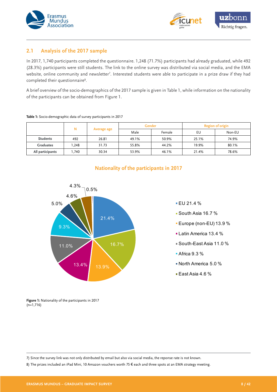



#### **2.1 Analysis of the 2017 sample**

In 2017, 1,740 participants completed the questionnaire. 1,248 (71.7%) participants had already graduated, while 492 (28.3%) participants were still students. The link to the online survey was distributed via social media, and the EMA website, online community and newsletter<sup>7</sup>. Interested students were able to participate in a prize draw if they had completed their questionnaire<sup>8</sup>.

A brief overview of the socio-demographics of the 2017 sample is given in Table 1, while information on the nationality of the participants can be obtained from Figure 1.

|                  | N     |             | <b>Region of origin</b><br><b>Gender</b> |        |       |        |
|------------------|-------|-------------|------------------------------------------|--------|-------|--------|
|                  |       | Average age | Male                                     | Female | EU    | Non-EU |
| <b>Students</b>  | 492   | 26.81       | 49.1%                                    | 50.9%  | 25.1% | 74.9%  |
| <b>Graduates</b> | 1.248 | 31.73       | 55.8%                                    | 44.2%  | 19.9% | 80.1%  |
| All participants | 1.740 | 30.34       | 53.9%                                    | 46.1%  | 21.4% | 78.6%  |

#### **Table 1:** Socio-demographic data of survey participants in 2017

| 4.3%<br>0.5% |       |
|--------------|-------|
| 4.6%<br>5.0% |       |
| 9.3%         | 21.4% |
| 11.0%        | 16.7% |
| 13.4%        | 13.9% |

#### **Nationality of the participants in 2017**

#### $EU 21.4 %$

- South Asia 16.7 %
- Europe (non-EU) 13.9 %
- Latin America 13.4 %
- South-East Asia 11.0 %
- Africa 9.3 %
- North America 5.0 %
- East Asia 4.6 %

**Figure 1:** Nationality of the participants in 2017 (n=1,716)

7) Since the survey link was not only distributed by email but also via social media, the reponse rate is not known.

8) The prizes included an iPad Mini, 10 Amazon vouchers worth 75 € each and three spots at an EMA strategy meeting.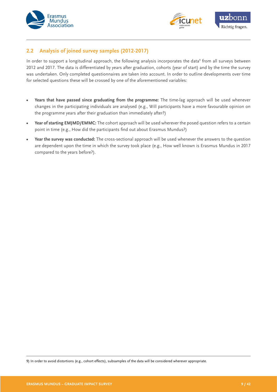



## **2.2 Analysis of joined survey samples (2012-2017)**

In order to support a longitudinal approach, the following analysis incorporates the data<sup>9</sup> from all surveys between 2012 and 2017. The data is differentiated by years after graduation, cohorts (year of start) and by the time the survey was undertaken. Only completed questionnaires are taken into account. In order to outline developments over time for selected questions these will be crossed by one of the aforementioned variables:

- **• Years that have passed since graduating from the programme:** The time-lag approach will be used whenever changes in the participating individuals are analysed (e.g., Will participants have a more favourable opinion on the programme years after their graduation than immediately after?)
- **• Year of starting EMJMD/EMMC:** The cohort approach will be used wherever the posed question refers to a certain point in time (e.g., How did the participants find out about Erasmus Mundus?)
- **• Year the survey was conducted:** The cross-sectional approach will be used whenever the answers to the question are dependent upon the time in which the survey took place (e.g., How well known is Erasmus Mundus in 2017 compared to the years before?).

9) In order to avoid distortions (e.g., cohort effects), subsamples of the data will be considered wherever appropriate.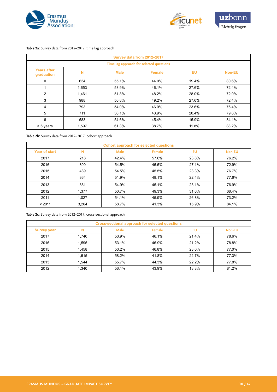



#### **Table 2a:** Survey data from 2012–2017: time lag approach

| Survey data from 2012-2017       |                                          |             |               |           |               |  |  |  |
|----------------------------------|------------------------------------------|-------------|---------------|-----------|---------------|--|--|--|
|                                  | Time lag approach for selected questions |             |               |           |               |  |  |  |
| <b>Years after</b><br>graduation | N                                        | <b>Male</b> | <b>Female</b> | <b>EU</b> | <b>Non-EU</b> |  |  |  |
| 0                                | 634                                      | 55.1%       | 44.9%         | 19.4%     | 80.6%         |  |  |  |
| 1                                | 1,653                                    | 53.9%       | 46.1%         | 27.6%     | 72.4%         |  |  |  |
| 2                                | 1,461                                    | 51.8%       | 48.2%         | 28.0%     | 72.0%         |  |  |  |
| 3                                | 988                                      | 50.8%       | 49.2%         | 27.6%     | 72.4%         |  |  |  |
| 4                                | 793                                      | 54.0%       | 46.0%         | 23.6%     | 76.4%         |  |  |  |
| 5                                | 711                                      | 56.1%       | 43.9%         | 20.4%     | 79.6%         |  |  |  |
| 6                                | 583                                      | 54.6%       | 45.4%         | 15.9%     | 84.1%         |  |  |  |
| > 6 years                        | 1,597                                    | 61.3%       | 38.7%         | 11.8%     | 88.2%         |  |  |  |

#### **Table 2b:** Survey data from 2012–2017: cohort approach

| Cohort approach for selected questions |       |             |        |           |               |  |
|----------------------------------------|-------|-------------|--------|-----------|---------------|--|
| <b>Year of start</b>                   | N     | <b>Male</b> | Female | <b>EU</b> | <b>Non-EU</b> |  |
| 2017                                   | 218   | 42.4%       | 57.6%  | 23.8%     | 76.2%         |  |
| 2016                                   | 300   | 54.5%       | 45.5%  | 27.1%     | 72.9%         |  |
| 2015                                   | 489   | 54.5%       | 45.5%  | 23.3%     | 76.7%         |  |
| 2014                                   | 864   | 51.9%       | 48.1%  | 22.4%     | 77.6%         |  |
| 2013                                   | 881   | 54.9%       | 45.1%  | 23.1%     | 76.9%         |  |
| 2012                                   | 1,377 | 50.7%       | 49.3%  | 31.6%     | 68.4%         |  |
| 2011                                   | 1.027 | 54.1%       | 45.9%  | 26.8%     | 73.2%         |  |
| < 2011                                 | 3.264 | 58.7%       | 41.3%  | 15.9%     | 84.1%         |  |

**Table 2c:** Survey data from 2012–2017: cross-sectional approach

| <b>Cross-sectional approach for selected questions</b> |       |             |        |       |               |  |
|--------------------------------------------------------|-------|-------------|--------|-------|---------------|--|
| <b>Survey year</b>                                     | N     | <b>Male</b> | Female | EU    | <b>Non-EU</b> |  |
| 2017                                                   | 1,740 | 53.9%       | 46.1%  | 21.4% | 78.6%         |  |
| 2016                                                   | 1,595 | 53.1%       | 46.9%  | 21.2% | 78.8%         |  |
| 2015                                                   | 1,458 | 53.2%       | 46.8%  | 23.0% | 77.0%         |  |
| 2014                                                   | 1,615 | 58.2%       | 41.8%  | 22.7% | 77.3%         |  |
| 2013                                                   | 1.544 | 55.7%       | 44.3%  | 22.2% | 77.8%         |  |
| 2012                                                   | 1,340 | 56.1%       | 43.9%  | 18.8% | 81.2%         |  |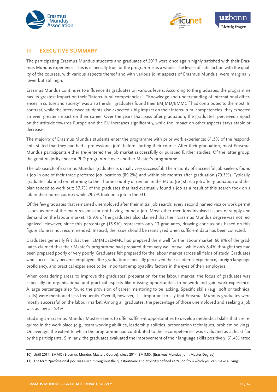<span id="page-10-0"></span>



#### **III EXECUTIVE SUMMARY**

The participating Erasmus Mundus students and graduates of 2017 were once again highly satisfied with their Erasmus Mundus experience. This is especially true for the programme as a whole. The levels of satisfaction with the quality of the courses, with various aspects thereof and with various joint aspects of Erasmus Mundus, were marginally lower but still high.

Erasmus Mundus continues to influence its graduates on various levels. According to the graduates, the programme has its greatest impact on their "intercultural competencies". "Knowledge and understanding of international differences in culture and society" was also the skill graduates found their EMJMD/EMMC<sup>10</sup> had contributed to the most. In contrast, while the interviewed students also expected a big impact on their intercultural competencies, they expected an even greater impact on their career. Over the years that pass after graduation, the graduates' perceived impact on the attitude towards Europe and the EU increases significantly, while the impact on other aspects stays stable or decreases.

The majority of Erasmus Mundus students enter the programme with prior work experience: 61.3% of the respondents stated that they had had a professional job<sup>11</sup> before starting their course. After their graduation, most Erasmus Mundus participants either (re-)entered the job market successfully or pursued further studies. Of the latter group, the great majority chose a PhD programme over another Master's programme.

The job search of Erasmus Mundus graduates is usually very successful. The majority of successful job-seekers found a job in one of their three preferred job locations (89.2%) and within six months after graduation (79.3%). Typically, graduates planned on returning to their home country or remain in the EU to (re-)start a job after graduation and this plan tended to work out: 57.7% of the graduates that had eventually found a job as a result of this search took on a job in their home country while 29.7% took on a job in the EU.

Of the few graduates that remained unemployed after their initial job search, every second named visa or work permit issues as one of the main reasons for not having found a job. Most other mentions involved issues of supply and demand on the labour market. 15.9% of the graduates also claimed that their Erasmus Mundus degree was not recognized. However, since this percentage (15.9%) represents only 13 graduates, drawing conclusions based on this figure alone is not recommended. Instead, the issue should be reanalysed when sufficient data has been collected.

Graduates generally felt that their EMJMD/EMMC had prepared them well for the labour market. 66.8% of the graduates claimed that their Master's programme had prepared them very well or well while only 8.4% thought they had been prepared poorly or very poorly. Graduates felt prepared for the labour market across all fields of study. Graduates who successfully became employed after graduation especially perceived their academic experience, foreign language proficiency, and practical experience to be important employability factors in the eyes of their employers.

When considering areas to improve the graduates' preparation for the labour market, the focus of graduates was especially on organisational and practical aspects like missing opportunities to network and gain work experience. A large percentage also found the provision of career mentoring to be lacking. Specific skills (e.g., soft or technical skills) were mentioned less frequently. Overall, however, it is important to say that Erasmus Mundus graduates were mostly successful on the labour market: Among all graduates, the percentage of those unemployed and seeking a job was as low as 5.4%.

Studying an Erasmus Mundus Master seems to offer sufficient opportunities to develop methodical skills that are required in the work place (e.g., team working abilities, leadership abilities, presentation techniques, problem solving). On average, the extent to which the programme had contributed to these competencies was evaluated as at least fair by the participants. Similarly, the graduates evaluated the improvement of their language skills positively: 61.4% rated

<sup>10)</sup> Until 2014: EMMC (Erasmus Mundus Masters Course); since 2014: EMJMD: (Erasmus Mundus Joint Master Degree)

<sup>11)</sup> The term "professional job" was used throughout the questionnaire and explicitly defined as "a job from which you can make a living".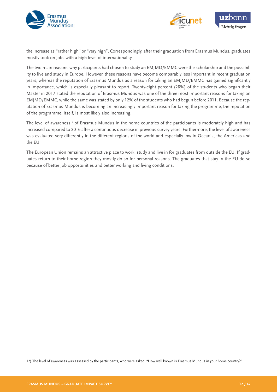



the increase as "rather high" or "very high". Correspondingly, after their graduation from Erasmus Mundus, graduates mostly took on jobs with a high level of internationality.

The two main reasons why participants had chosen to study an EMJMD/EMMC were the scholarship and the possibility to live and study in Europe. However, these reasons have become comparably less important in recent graduation years, whereas the reputation of Erasmus Mundus as a reason for taking an EMJMD/EMMC has gained significantly in importance, which is especially pleasant to report. Twenty-eight percent (28%) of the students who began their Master in 2017 stated the reputation of Erasmus Mundus was one of the three most important reasons for taking an EMJMD/EMMC, while the same was stated by only 12% of the students who had begun before 2011. Because the reputation of Erasmus Mundus is becoming an increasingly important reason for taking the programme, the reputation of the programme, itself, is most likely also increasing.

The level of awareness<sup>12</sup> of Erasmus Mundus in the home countries of the participants is moderately high and has increased compared to 2016 after a continuous decrease in previous survey years. Furthermore, the level of awareness was evaluated very differently in the different regions of the world and especially low in Oceania, the Americas and the EU.

The European Union remains an attractive place to work, study and live in for graduates from outside the EU. If graduates return to their home region they mostly do so for personal reasons. The graduates that stay in the EU do so because of better job opportunities and better working and living conditions.

12) The level of awareness was assessed by the participants, who were asked: "How well known is Erasmus Mundus in your home country?"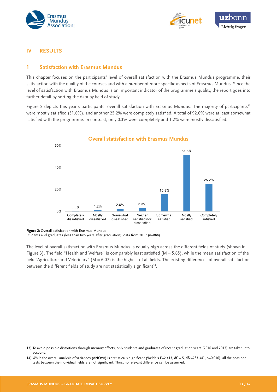



#### **IV RESULTS**

#### **1 Satisfaction with Erasmus Mundus**

This chapter focuses on the participants' level of overall satisfaction with the Erasmus Mundus programme, their satisfaction with the quality of the courses and with a number of more specific aspects of Erasmus Mundus. Since the level of satisfaction with Erasmus Mundus is an important indicator of the programme's quality, the report goes into further detail by sorting the data by field of study.

Figure 2 depicts this year's participants' overall satisfaction with Erasmus Mundus. The majority of participants<sup>13</sup> were mostly satisfied (51.6%), and another 25.2% were completely satisfied. A total of 92.6% were at least somewhat satisfied with the programme. In contrast, only 0.3% were completely and 1.2% were mostly dissatisfied.



**Figure 2:** Overall satisfaction with Erasmus Mundus

Students and graduates (less than two years after graduation); data from 2017 (n=888)

The level of overall satisfaction with Erasmus Mundus is equally high across the different fields of study (shown in Figure 3). The field "Health and Welfare" is comparably least satisfied ( $M = 5.65$ ), while the mean satisfaction of the field "Agriculture and Veterinary" ( $M = 6.07$ ) is the highest of all fields. The existing differences of overall satisfaction between the different fields of study are not statistically significant<sup>14</sup>.

<sup>13)</sup> To avoid possible distortions through memory effects, only students and graduates of recent graduation years (2016 and 2017) are taken into account.

<sup>14)</sup> While the overall analysis of variances (ANOVA) is statistically significant (Welch's F=2.413, df1= 5, df2=283.341, p=0.016), all the post-hoc tests between the individual fields are not significant. Thus, no relevant difference can be assumed.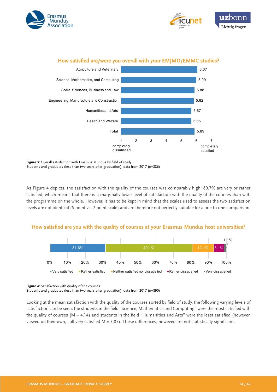





## **How satisfied are/were you overall with your EMJMD/EMMC studies?**

**Figure 3:** Overall satisfaction with Erasmus Mundus by field of study Students and graduates (less than two years after graduation); data from 2017 (n=886)

As Figure 4 depicts, the satisfaction with the quality of the courses was comparably high: 80.7% are very or rather satisfied, which means that there is a marginally lower level of satisfaction with the quality of the courses than with the programme on the whole. However, it has to be kept in mind that the scales used to assess the two satisfaction levels are not identical (5-point vs. 7-point scale) and are therefore not perfectly suitable for a one-to-one comparison.

#### **How satisfied are you with the quality of courses at your Erasmus Mundus host universities?**



**Figure 4:** Satisfaction with quality of the courses

Students and graduates (less than two years after graduation); data from 2017 (n=890)

Looking at the mean satisfaction with the quality of the courses sorted by field of study, the following varying levels of satisfaction can be seen: the students in the field "Science, Mathematics and Computing" were the most satisfied with the quality of courses ( $M = 4.14$ ) and students in the field "Humanities and Arts" were the least satisfied (however, viewed on their own, still very satisfied  $M = 3.87$ ). These differences, however, are not statistically significant.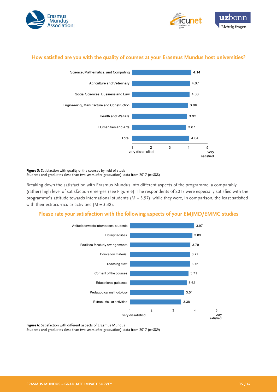



## **How satisfied are you with the quality of courses at your Erasmus Mundus host universities?**



**Figure 5:** Satisfaction with quality of the courses by field of study Students and graduates (less than two years after graduation); data from 2017 (n=888)

Breaking down the satisfaction with Erasmus Mundus into different aspects of the programme, a comparably (rather) high level of satisfaction emerges (see Figure 6). The respondents of 2017 were especially satisfied with the programme's attitude towards international students ( $M = 3.97$ ), while they were, in comparison, the least satisfied with their extracurricular activities  $(M = 3.38)$ .

#### **Please rate your satisfaction with the following aspects of your EMJMD/EMMC studies**



**Figure 6:** Satisfaction with different aspects of Erasmus Mundus

Students and graduates (less than two years after graduation); data from 2017 (n=889)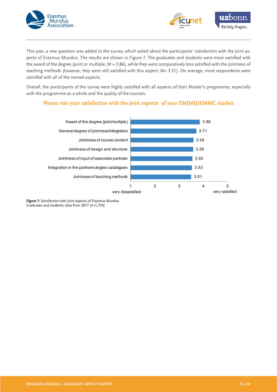



This year, a new question was added to the survey, which asked about the participants' satisfaction with the joint aspects of Erasmus Mundus. The results are shown in Figure 7. The graduates and students were most satisfied with the award of the degree (joint or multiple;  $M = 3.86$ ), while they were comparatively less satisfied with the jointness of teaching methods (however, they were still satisfied with this aspect: M= 3.51). On average, most respondents were satisfied with all of the named aspects.

Overall, the participants of the survey were highly satisfied with all aspects of their Master's programme, especially with the programme as a whole and the quality of the courses.

#### **Please rate your satisfaction with the joint aspects of your EMJMD/EMMC studies**



**Figure 7:** Satisfaction with joint aspects of Erasmus Mundus Graduates and students; data from 2017 (n=1,734)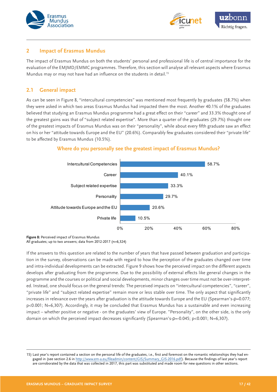



#### **2 Impact of Erasmus Mundus**

The impact of Erasmus Mundus on both the students' personal and professional life is of central importance for the evaluation of the EMJMD/EMMC programmes. Therefore, this section will analyse all relevant aspects where Erasmus Mundus may or may not have had an influence on the students in detail.<sup>15</sup>

## **2.1 General impact**

As can be seen in Figure 8, "intercultural competencies" was mentioned most frequently by graduates (58.7%) when they were asked in which two areas Erasmus Mundus had impacted them the most. Another 40.1% of the graduates believed that studying an Erasmus Mundus programme had a great effect on their "career" and 33.3% thought one of the greatest gains was that of "subject related expertise". More than a quarter of the graduates (29.7%) thought one of the greatest impacts of Erasmus Mundus was on their "personality", while about every fifth graduate saw an effect on his or her "attitude towards Europe and the EU" (20.6%). Comparably few graduates considered their "private life" to be affected by Erasmus Mundus (10.5%).





**Figure 8:** Perceived impact of Erasmus Mundus

All graduates; up to two answers; data from 2012-2017 (n=6,324)

If the answers to this question are related to the number of years that have passed between graduation and participation in the survey, observations can be made with regard to how the perception of the graduates changed over time and intra-individual developments can be extracted. Figure 9 shows how the perceived impact on the different aspects develops after graduating from the programme. Due to the possibility of external effects like general changes in the programme and the courses or political and social developments, minor changes over time must not be over-interpreted. Instead, one should focus on the general trends: The perceived impacts on "intercultural competencies", "career", "private life" and "subject related expertise" remain more or less stable over time. The only aspect that significantly increases in relevance over the years after graduation is the attitude towards Europe and the EU (Spearman's-p=0.077; p<0.001; N=6,307). Accordingly, it may be concluded that Erasmus Mundus has a sustainable and even increasing impact – whether positive or negative - on the graduates' view of Europe. "Personality", on the other side, is the only domain on which the perceived impact decreases significantly (Spearman's-ρ=-0.045; p<0.001; N=6,307).

<sup>15)</sup> Last year's report contained a section on the personal life of the graduates, i.e., first and foremost on the romantic relationships they had engaged in (see section 2.6 in [http://www.em-a.eu/fileadmin/content/GIS/Summary\\_GIS-2016.pdf](http://www.em-a.eu/fileadmin/content/GIS/Summary_GIS-2016.pdf)). Because the findings of last year's report are corroborated by the data that was collected in 2017, this part was substituted and made room for new questions in other sections.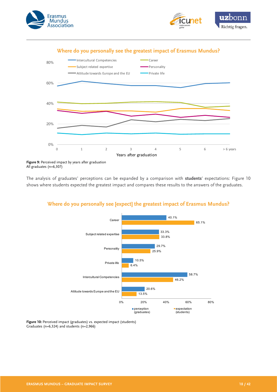





**Figure 9:** Perceived impact by years after graduation All graduates (n=6,307)

The analysis of graduates' perceptions can be expanded by a comparison with **students**' expectations: Figure 10 shows where students expected the greatest impact and compares these results to the answers of the graduates.



## **Where do you personally see [expect] the greatest impact of Erasmus Mundus?**

**Figure 10:** Perceived impact (graduates) vs. expected impact (students) Graduates (n=6,324) and students (n=2,966)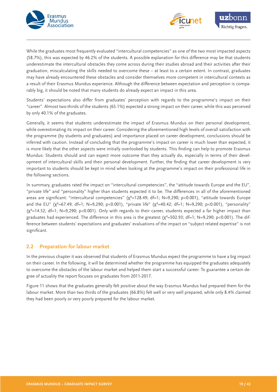



While the graduates most frequently evaluated "intercultural competencies" as one of the two most impacted aspects (58.7%), this was expected by 46.2% of the students. A possible explanation for this difference may be that students underestimate the intercultural obstacles they come across during their studies abroad and their activities after their graduation, miscalculating the skills needed to overcome these – at least to a certain extent. In contrast, graduates may have already encountered these obstacles and consider themselves more competent in intercultural contexts as a result of their Erasmus Mundus experience. Although the difference between expectation and perception is comparably big, it should be noted that many students do already expect an impact in this area.

Students' expectations also differ from graduates' perception with regards to the programme's impact on their "career". Almost two-thirds of the students (65.1%) expected a strong impact on their career, while this was perceived by only 40.1% of the graduates.

Generally, it seems that students underestimate the impact of Erasmus Mundus on their personal development, while overestimating its impact on their career. Considering the aforementioned high levels of overall satisfaction with the programme (by students and graduates) and importance placed on career development, conclusions should be inferred with caution. Instead of concluding that the programme's impact on career is much lower than expected, it is more likely that the other aspects were initially overlooked by students. This finding can help to promote Erasmus Mundus: Students should and can expect more outcome than they actually do, especially in terms of their development of intercultural skills and their personal development. Further, the finding that career development is very important to students should be kept in mind when looking at the programme's impact on their professional life in the following sections.

In summary, graduates rated the impact on "intercultural competencies", the "attitude towards Europe and the EU", "private life" and "personality" higher than students expected it to be. The differences in all of the aforementioned areas are significant: "intercultural competencies" (χ<sup>2</sup>=128.49; df=1; N=9,290; p<0.001), "attitude towards Europe and the EU" ( $\chi^2$ =67.49; df=1; N=9,290; p<0.001), "private life" ( $\chi^2$ =40.42; df=1; N=9,290; p<0.001), "personality"  $(\chi^2=14.52; df=1; N=9,290; p<0.001)$ . Only with regards to their career, students expected a far higher impact than graduates had experienced. The difference in this area is the greatest (χ²=502.93; df=1; N=9,290; p<0.001). The difference between students' expectations and graduates' evaluations of the impact on "subject related expertise" is not significant.

## **2.2 Preparation for labour market**

In the previous chapter it was observed that students of Erasmus Mundus expect the programme to have a big impact on their career. In the following, it will be determined whether the programme has equipped the graduates adequately to overcome the obstacles of the labour market and helped them start a successful career. To guarantee a certain degree of actuality the report focuses on graduates from 2011-2017.

Figure 11 shows that the graduates generally felt positive about the way Erasmus Mundus had prepared them for the labour market. More than two thirds of the graduates (66.8%) felt well or very well prepared, while only 8.4% claimed they had been poorly or very poorly prepared for the labour market.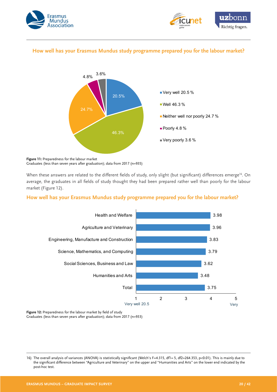



## **How well has your Erasmus Mundus study programme prepared you for the labour market?**



**Figure 11:** Preparedness for the labour market Graduates (less than seven years after graduation); data from 2017 (n=935)

When these answers are related to the different fields of study, only slight (but significant) differences emerge<sup>16</sup>. On average, the graduates in all fields of study thought they had been prepared rather well than poorly for the labour market (Figure 12).

#### **How well has your Erasmus Mundus study programme prepared you for the labour market?**



**Figure 12:** Preparedness for the labour market by field of study Graduates (less than seven years after graduation); data from 2017 (n=933)

<sup>16)</sup> The overall analysis of variances (ANOVA) is statistically significant (Welch's F=4.315, df1= 5, df2=264.353, p<0.01). This is mainly due to the significant difference between "Agriculture and Veterinary" on the upper and "Humanities and Arts" on the lower end indicated by the post-hoc test.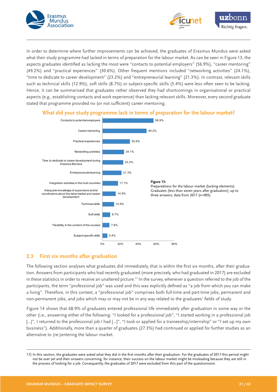



In order to determine where further improvements can be achieved, the graduates of Erasmus Mundus were asked what their study programme had lacked in terms of preparation for the labour market. As can be seen in Figure 13, the aspects graduates identified as lacking the most were "contacts to potential employers" (56.9%), "career mentoring" (49.2%) and "practical experiences" (30.6%). Other frequent mentions included "networking activities" (24.1%), "time to dedicate to career development" (23.2%) and "entrepreneurial learning" (21.3%). In contrast, relevant skills such as technical skills (12.9%), soft skills (8.7%) or subject-specific skills (5.4%) were less often seen to be lacking. Hence, it can be summarised that graduates rather observed they had shortcomings in organisational or practical aspects (e.g., establishing contacts and work experience) than lacking relevant skills. Moreover, every second graduate stated that programme provided no (or not sufficient) career mentoring.



## **What did your study programme lack in terms of preparation for the labour market?**

## **2.3 First six months after graduation**

The following section analyses what graduates did immediately, that is within the first six months, after their graduation. Answers from participants who had recently graduated (more precisely, who had graduated in 2017) are excluded in these statistics in order to receive an unaltered picture.<sup>17</sup> In the survey, whenever a question referred to the job of the participants, the term "professional job" was used and this was explicitly defined as "a job from which you can make a living". Therefore, in this context, a "professional job" comprises both full-time and part-time jobs, permanent and non-permanent jobs, and jobs which may or may not be in any way related to the graduates' fields of study.

Figure 14 shows that 68.9% of graduates entered professional life immediately after graduation in some way or the other (i.e., answering either of the following: "I looked for a professional job", "I started working in a professional job [...]", I returned to the professional job I had [...]", "I took or applied for a traineeship/internship" or "I set up my own business"). Additionally, more than a quarter of graduates (27.3%) had continued or applied for further studies as an alternative to (re-)entering the labour market.

<sup>17)</sup> In this section, the graduates were asked what they did in the first months after their graduation. For the graduates of 2017 this period might not be over yet and their answers concerning, for instance, their success on the labour market might be misleading because they are still in the process of looking for a job. Consequently, the graduates of 2017 were excluded from this part of the questionnaire.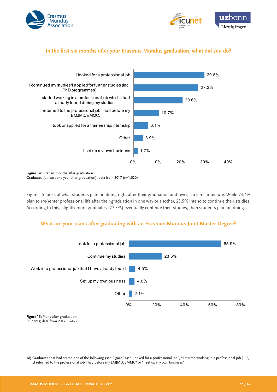



## **In the first six months after your Erasmus Mundus graduation, what did you do?**



**Figure 14:** First six months after graduation Graduates (at least one year after graduation); data from 2017 (n=1,020)

Figure 15 looks at what students plan on doing right after their graduation and reveals a similar picture. While 74.4% plan to (re-)enter professional life after their graduation in one way or another, 23.5% intend to continue their studies. According to this, slightly more graduates (27.3%) eventually continue their studies, than students plan on doing.

## **What are your plans after graduating with an Erasmus Mundus Joint Master Degree?**



**Figure 15:** Plans after graduation Students; data from 2017 (n=422)

18) Graduates that had stated one of the following (see Figure 14): "I looked for a professional job", "I started working in a professional job […]", "I returned to the professional job I had before my EMJMD/EMMC" or "I set up my own business"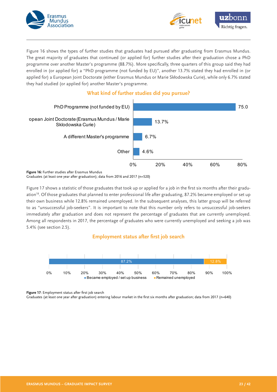



Figure 16 shows the types of further studies that graduates had pursued after graduating from Erasmus Mundus. The great majority of graduates that continued (or applied for) further studies after their graduation chose a PhD programme over another Master's programme (88.7%). More specifically, three quarters of this group said they had enrolled in (or applied for) a "PhD programme (not funded by EU)", another 13.7% stated they had enrolled in (or applied for) a European Joint Doctorate (either Erasmus Mundus or Marie Skłodowska Curie), while only 6.7% stated they had studied (or applied for) another Master's programme.



## **What kind of further studies did you pursue?**

**Figure 16:** Further studies after Erasmus Mundus Graduates (at least one year after graduation); data from 2016 and 2017 (n=520)

Figure 17 shows a statistic of those graduates that took up or applied for a job in the first six months after their graduation18. Of those graduates that planned to enter professional life after graduating, 87.2% became employed or set up their own business while 12.8% remained unemployed. In the subsequent analyses, this latter group will be referred to as "unsuccessful job-seekers". It is important to note that this number only refers to unsuccessful job-seekers immediately after graduation and does not represent the percentage of graduates that are currently unemployed. Among all respondents in 2017, the percentage of graduates who were currently unemployed and seeking a job was 5.4% (see section 2.5).

#### **Employment status after first job search**



**Figure 17**: Employment status after first job search

Graduates (at least one year after graduation) entering labour market in the first six months after graduation; data from 2017 (n=640)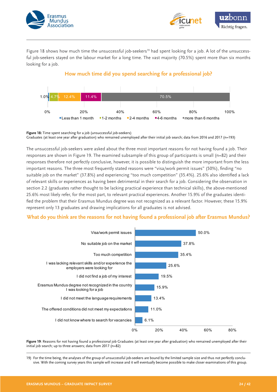



Figure 18 shows how much time the unsuccessful job-seekers<sup>19</sup> had spent looking for a job. A lot of the unsuccessful job-seekers stayed on the labour market for a long time. The vast majority (70.5%) spent more than six months looking for a job.

#### **How much time did you spend searching for a professional job?**



**Figure 18:** Time spent searching for a job (unsuccessful job-seekers) Graduates (at least one year after graduation) who remained unemployed after their initial job search; data from 2016 and 2017 (n=193)

The unsuccessful job-seekers were asked about the three most important reasons for not having found a job. Their responses are shown in Figure 19. The examined subsample of this group of participants is small (n=82) and their responses therefore not perfectly conclusive, however, it is possible to distinguish the more important from the less important reasons. The three most frequently stated reasons were "visa/work permit issues" (50%), finding "no suitable job on the market" (37.8%) and experiencing "too much competition" (35.4%). 25.6% also identified a lack of relevant skills or experiences as having been detrimental in their search for a job. Considering the observation in section 2.2 (graduates rather thought to be lacking practical experience than technical skills), the above-mentioned 25.6% most likely refer, for the most part, to relevant practical experiences. Another 15.9% of the graduates identified the problem that their Erasmus Mundus degree was not recognized as a relevant factor. However, these 15.9% represent only 13 graduates and drawing implications for all graduates is not advised.

#### **What do you think are the reasons for not having found a professional job after Erasmus Mundus?**



**Figure 19**: Reasons for not having found a professional job Graduates (at least one year after graduation) who remained unemployed after their initial job search; up to three answers; data from 2017 (n=82)

19) For the time being, the analyses of the group of unsuccessful job-seekers are bound by the limited sample size and thus not perfectly conclusive. With the coming survey years this sample will increase and it will eventually become possible to make closer examinations of this group.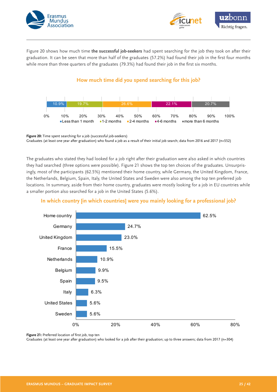



Figure 20 shows how much time **the successful job-seekers** had spent searching for the job they took on after their graduation. It can be seen that more than half of the graduates (57.2%) had found their job in the first four months while more than three quarters of the graduates (79.3%) had found their job in the first six months.

## **How much time did you spend searching for this job?**



**Figure 20:** Time spent searching for a job (successful job-seekers) Graduates (at least one year after graduation) who found a job as a result of their initial job search; data from 2016 and 2017 (n=552)

The graduates who stated they had looked for a job right after their graduation were also asked in which countries they had searched (three options were possible). Figure 21 shows the top ten choices of the graduates. Unsurprisingly, most of the participants (62.5%) mentioned their home country, while Germany, the United Kingdom, France, the Netherlands, Belgium, Spain, Italy, the United States and Sweden were also among the top ten preferred job locations. In summary, aside from their home country, graduates were mostly looking for a job in EU countries while a smaller portion also searched for a job in the United States (5.6%).

## **In which country [in which countries] were you mainly looking for a professional job?**



**Figure 21:** Preferred location of first job, top ten

Graduates (at least one year after graduation) who looked for a job after their graduation; up to three answers; data from 2017 (n=304)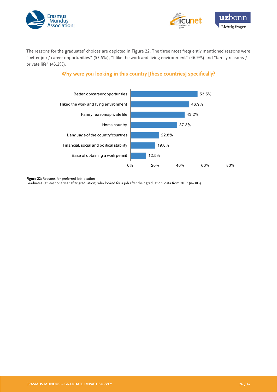



The reasons for the graduates' choices are depicted in Figure 22. The three most frequently mentioned reasons were "better job / career opportunities" (53.5%), "I like the work and living environment" (46.9%) and "family reasons / private life" (43.2%).

## **Why were you looking in this country [these countries] specifically?**



**Figure 22:** Reasons for preferred job location

Graduates (at least one year after graduation) who looked for a job after their graduation; data from 2017 (n=303)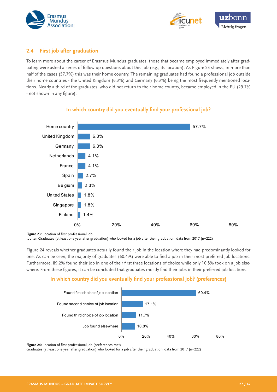



## **2.4 First job after graduation**

To learn more about the career of Erasmus Mundus graduates, those that became employed immediately after graduating were asked a series of follow-up questions about this job (e.g., its location). As Figure 23 shows, in more than half of the cases (57.7%) this was their home country. The remaining graduates had found a professional job outside their home countries - the United Kingdom (6.3%) and Germany (6.3%) being the most frequently mentioned locations. Nearly a third of the graduates, who did not return to their home country, became employed in the EU (29.7% - not shown in any figure).



#### **In which country did you eventually find your professional job?**

**Figure 23:** Location of first professional job,

top ten Graduates (at least one year after graduation) who looked for a job after their graduation; data from 2017 (n=222)

Figure 24 reveals whether graduates actually found their job in the location where they had predominantly looked for one. As can be seen, the majority of graduates (60.4%) were able to find a job in their most preferred job locations. Furthermore, 89.2% found their job in one of their first three locations of choice while only 10.8% took on a job elsewhere. From these figures, it can be concluded that graduates mostly find their jobs in their preferred job locations.

#### **In which country did you eventually find your professional job? (preferences)**



**Figure 24:** Location of first professional job (preferences met)

Graduates (at least one year after graduation) who looked for a job after their graduation; data from 2017 (n=222)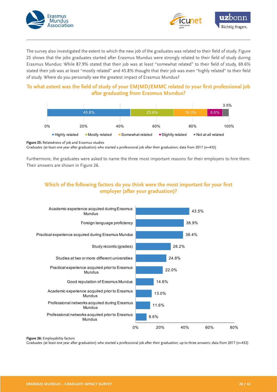



The survey also investigated the extent to which the new job of the graduates was related to their field of study. Figure 25 shows that the jobs graduates started after Erasmus Mundus were strongly related to their field of study during Erasmus Mundus: While 87.9% stated that their job was at least "somewhat related" to their field of study, 69.6% stated their job was at least "mostly related" and 45.8% thought that their job was even "highly related" to their field of study. Where do you personally see the greatest impact of Erasmus Mundus?

## **To what extent was the field of study of your EMJMD/EMMC related to your first professional job after graduating from Erasmus Mundus?**



**Figure 25:** Relatedness of job and Erasmus studies

Graduates (at least one year after graduation) who started a professional job after their graduation; data from 2017 (n=432)

Furthermore, the graduates were asked to name the three most important reasons for their employers to hire them. Their answers are shown in Figure 26.

## **Which of the following factors do you think were the most important for your first employer (after your graduation)?**



**Figure 26:** Employability factors

Graduates (at least one year after graduation) who started a professional job after their graduation; up to three answers; data from 2017 (n=432)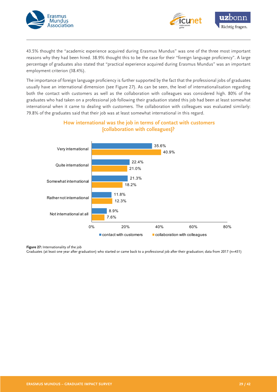



43.5% thought the "academic experience acquired during Erasmus Mundus" was one of the three most important reasons why they had been hired. 38.9% thought this to be the case for their "foreign language proficiency". A large percentage of graduates also stated that "practical experience acquired during Erasmus Mundus" was an important employment criterion (38.4%).

The importance of foreign language proficiency is further supported by the fact that the professional jobs of graduates usually have an international dimension (see Figure 27). As can be seen, the level of internationalisation regarding both the contact with customers as well as the collaboration with colleagues was considered high. 80% of the graduates who had taken on a professional job following their graduation stated this job had been at least somewhat international when it came to dealing with customers. The collaboration with colleagues was evaluated similarly: 79.8% of the graduates said that their job was at least somewhat international in this regard.



## **How international was the job in terms of contact with customers [collaboration with colleagues]?**

**Figure 27:** Internationality of the job

Graduates (at least one year after graduation) who started or came back to a professional job after their graduation; data from 2017 (n=431)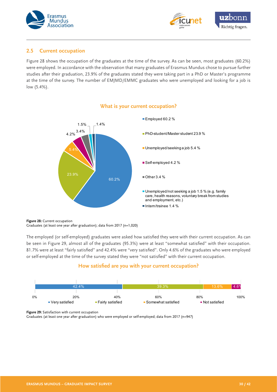



#### **2.5 Current occupation**

Figure 28 shows the occupation of the graduates at the time of the survey. As can be seen, most graduates (60.2%) were employed. In accordance with the observation that many graduates of Erasmus Mundus chose to pursue further studies after their graduation, 23.9% of the graduates stated they were taking part in a PhD or Master's programme at the time of the survey. The number of EMJMD/EMMC graduates who were unemployed and looking for a job is low (5.4%).



#### **What is your current occupation?**

**Figure 28:** Current occupation Graduates (at least one year after graduation); data from 2017 (n=1,020)

The employed (or self-employed) graduates were asked how satisfied they were with their current occupation. As can be seen in Figure 29, almost all of the graduates (95.3%) were at least "somewhat satisfied" with their occupation. 81.7% were at least "fairly satisfied" and 42.4% were "very satisfied". Only 4.6% of the graduates who were employed or self-employed at the time of the survey stated they were "not satisfied" with their current occupation.

## **How satisfied are you with your current occupation?**



**Figure 29:** Satisfaction with current occupation

Graduates (at least one year after graduation) who were employed or self-employed; data from 2017 (n=947)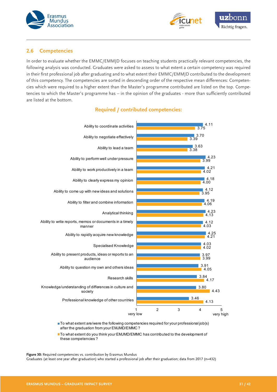



#### **2.6 Competencies**

In order to evaluate whether the EMMC/EMMJD focuses on teaching students practically relevant competencies, the following analysis was conducted. Graduates were asked to assess to what extent a certain competency was required in their first professional job after graduating and to what extent their EMMC/EMMJD contributed to the development of this competency. The competencies are sorted in descending order of the respective mean differences: Competencies which were required to a higher extent than the Master's programme contributed are listed on the top. Competencies to which the Master's programme has – in the opinion of the graduates - more than sufficiently contributed are listed at the bottom.



## **Required / contributed competencies:**

■ To what extent are/were the following competencies required for your professional job(s) after the graduation from your EMJMD/EMMC ?

■ To what extent do you think your EMJMD/EMMC has contributed to the development of these competencies ?

**Figure 30:** Required competencies vs. contribution by Erasmus Mundus

Graduates (at least one year after graduation) who started a professional job after their graduation; data from 2017 (n=432)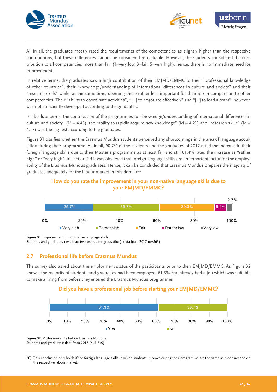



All in all, the graduates mostly rated the requirements of the competencies as slightly higher than the respective contributions, but these differences cannot be considered remarkable. However, the students considered the contribution to all competencies more than fair (1=very low, 3=fair, 5=very high), hence, there is no immediate need for improvement.

In relative terms, the graduates saw a high contribution of their EMJMD/EMMC to their "professional knowledge of other countries", their "knowledge/understanding of international differences in culture and society" and their "research skills" while, at the same time, deeming these rather less important for their job in comparison to other competencies. Their "ability to coordinate activities", "[…] to negotiate effectively" and "[…] to lead a team", however, was not sufficiently developed according to the graduates.

In absolute terms, the contribution of the programmes to "knowledge/understanding of international differences in culture and society" (M = 4.43), the "ability to rapidly acquire new knowledge" (M = 4.21) and "research skills" (M = 4.17) was the highest according to the graduates.

Figure 31 clarifies whether the Erasmus Mundus students perceived any shortcomings in the area of language acquisition during their programme. All in all, 90.7% of the students and the graduates of 2017 rated the increase in their foreign language skills due to their Master's programme as at least fair and still 61.4% rated the increase as "rather high" or "very high". In section 2.4 it was observed that foreign language skills are an important factor for the employability of the Erasmus Mundus graduates. Hence, it can be concluded that Erasmus Mundus prepares the majority of graduates adequately for the labour market in this domain<sup>20</sup>





**Figure 31:** Improvement in non-native language skills

Students and graduates (less than two years after graduation); data from 2017 (n=863)

#### **2.7 Professional life before Erasmus Mundus**

The survey also asked about the employment status of the participants prior to their EMJMD/EMMC. As Figure 32 shows, the majority of students and graduates had been employed: 61.3% had already had a job which was suitable to make a living from before they entered the Erasmus Mundus programme.

#### **Did you have a professional job before starting your EMJMD/EMMC?**



**Figure 32:** Professional life before Erasmus Mundus Students and graduates; data from 2017 (n=1,740)

20) This conclusion only holds if the foreign language skills in which students improve during their programme are the same as those needed on the respective labour market.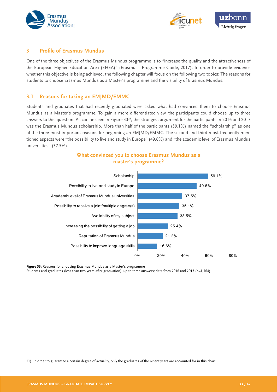



#### **3 Profile of Erasmus Mundus**

One of the three objectives of the Erasmus Mundus programme is to "increase the quality and the attractiveness of the European Higher Education Area (EHEA)" (Erasmus+ Programme Guide, 2017). In order to provide evidence whether this objective is being achieved, the following chapter will focus on the following two topics: The reasons for students to choose Erasmus Mundus as a Master's programme and the visibility of Erasmus Mundus.

#### **3.1 Reasons for taking an EMJMD/EMMC**

Students and graduates that had recently graduated were asked what had convinced them to choose Erasmus Mundus as a Master's programme. To gain a more differentiated view, the participants could choose up to three answers to this question. As can be seen in Figure 3321, the strongest argument for the participants in 2016 and 2017 was the Erasmus Mundus scholarship. More than half of the participants (59.1%) named the "scholarship" as one of the three most important reasons for beginning an EMJMD/EMMC. The second and third most frequently mentioned aspects were "the possibility to live and study in Europe" (49.6%) and "the academic level of Erasmus Mundus universities" (37.5%).

#### **What convinced you to choose Erasmus Mundus as a master's programme?**



**Figure 33:** Reasons for choosing Erasmus Mundus as a Master's programme

Students and graduates (less than two years after graduation); up to three answers; data from 2016 and 2017 (n=1,564)

21) In order to guarantee a certain degree of actuality, only the graduates of the recent years are accounted for in this chart.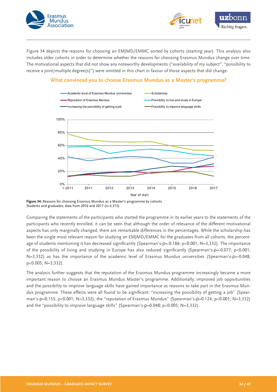



Figure 34 depicts the reasons for choosing an EMJMD/EMMC sorted by cohorts (starting year). This analysis also includes older cohorts in order to determine whether the reasons for choosing Erasmus Mundus change over time. The motivational aspects that did not show any noteworthy developments ("availability of my subject", "possibility to receive a joint/multiple degree(s)") were omitted in this chart in favour of those aspects that did change.

#### **What convinced you to choose Erasmus Mundus as a Master's programme?**



**Figure 34:** Reasons for choosing Erasmus Mundus as a Master's programme by cohorts Students and graduates; data from 2016 and 2017 (n=3,315)

Comparing the statements of the participants who started the programme in its earlier years to the statements of the participants who recently enrolled, it can be seen that although the order of relevance of the different motivational aspects has only marginally changed, there are remarkable differences in the percentages. While the scholarship has been the single most relevant reason for studying an EMJMD/EMMC for the graduates from all cohorts, the percentage of students mentioning it has decreased significantly (Spearman's-ρ=-0.186; p<0.001; N=3,332). The importance of the possibility of living and studying in Europe has also reduced significantly (Spearman's-p=-0.077; p<0.001; N=3,332) as has the importance of the academic level of Erasmus Mundus universities (Spearman's-p=-0.048; p<0.005; N=3,332).

The analysis further suggests that the reputation of the Erasmus Mundus programme increasingly became a more important reason to choose an Erasmus Mundus Master's programme. Additionally, improved job opportunities and the possibility to improve language skills have gained importance as reasons to take part in the Erasmus Mundus programme. These effects were all found to be significant: "increasing the possibility of getting a job" (Spearman's-ρ=0.155; p<0.001; N=3,332), the "reputation of Erasmus Mundus" (Spearman's-ρ=0.124; p<0.001; N=3,332) and the "possibility to improve language skills" (Spearman's-ρ=0.048; p<0.005; N=3,332).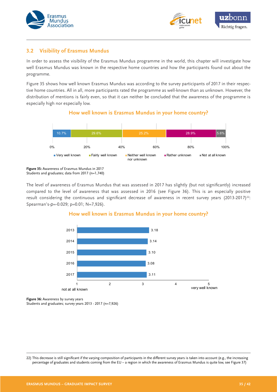



#### **3.2 Visibility of Erasmus Mundus**

In order to assess the visibility of the Erasmus Mundus programme in the world, this chapter will investigate how well Erasmus Mundus was known in the respective home countries and how the participants found out about the programme.

Figure 35 shows how well known Erasmus Mundus was according to the survey participants of 2017 in their respective home countries. All in all, more participants rated the programme as well-known than as unknown. However, the distribution of mentions is fairly even, so that it can neither be concluded that the awareness of the programme is especially high nor especially low.

#### **How well known is Erasmus Mundus in your home country?**



**Figure 35:** Awareness of Erasmus Mundus in 2017 Students and graduates; data from 2017 (n=1,740)

The level of awareness of Erasmus Mundus that was assessed in 2017 has slightly (but not significantly) increased compared to the level of awareness that was assessed in 2016 (see Figure 36). This is an especially positive result considering the continuous and significant decrease of awareness in recent survey years (2013-2017)<sup>22</sup>: Spearman's-ρ=-0.029; p=0.01; N=7,926).

#### **How well known is Erasmus Mundus in your home country?**



**Figure 36:** Awareness by survey years Students and graduates; survey years 2013 - 2017 (n=7,926)

22) This decrease is still significant if the varying composition of participants in the different survey years is taken into account (e.g., the increasing percentage of graduates and students coming from the EU – a region in which the awareness of Erasmus Mundus is quite low, see Figure 37)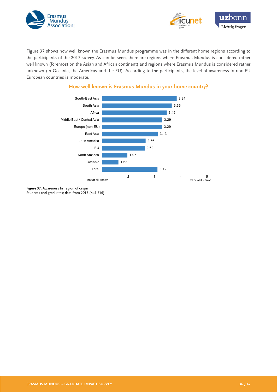



Figure 37 shows how well known the Erasmus Mundus programme was in the different home regions according to the participants of the 2017 survey. As can be seen, there are regions where Erasmus Mundus is considered rather well known (foremost on the Asian and African continent) and regions where Erasmus Mundus is considered rather unknown (in Oceania, the Americas and the EU). According to the participants, the level of awareness in non-EU European countries is moderate.



## **How well known is Erasmus Mundus in your home country?**

**Figure 37:** Awareness by region of origin Students and graduates; data from 2017 (n=1,716)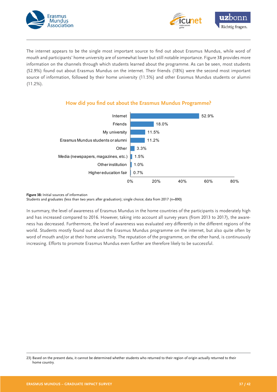



The internet appears to be the single most important source to find out about Erasmus Mundus, while word of mouth and participants' home university are of somewhat lower but still notable importance. Figure 38 provides more information on the channels through which students learned about the programme. As can be seen, most students (52.9%) found out about Erasmus Mundus on the internet. Their friends (18%) were the second most important source of information, followed by their home university (11.5%) and other Erasmus Mundus students or alumni (11.2%).



## **How did you find out about the Erasmus Mundus Programme?**

**Figure 38:** Initial sources of information

Students and graduates (less than two years after graduation); single choice; data from 2017 (n=890)

In summary, the level of awareness of Erasmus Mundus in the home countries of the participants is moderately high and has increased compared to 2016. However, taking into account all survey years (from 2013 to 2017), the awareness has decreased. Furthermore, the level of awareness was evaluated very differently in the different regions of the world. Students mostly found out about the Erasmus Mundus programme on the internet, but also quite often by word of mouth and/or at their home university. The reputation of the programme, on the other hand, is continuously increasing. Efforts to promote Erasmus Mundus even further are therefore likely to be successful.

<sup>23)</sup> Based on the present data, it cannot be determined whether students who returned to their region of origin actually returned to their home country.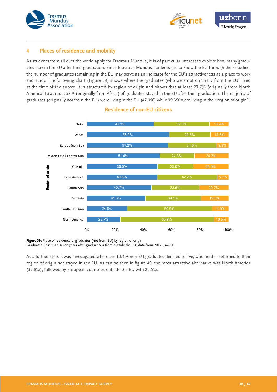



#### **4 Places of residence and mobility**

As students from all over the world apply for Erasmus Mundus, it is of particular interest to explore how many graduates stay in the EU after their graduation. Since Erasmus Mundus students get to know the EU through their studies, the number of graduates remaining in the EU may serve as an indicator for the EU's attractiveness as a place to work and study. The following chart (Figure 39) shows where the graduates (who were not originally from the EU) lived at the time of the survey. It is structured by region of origin and shows that at least 23.7% (originally from North America) to at most 58% (originally from Africa) of graduates stayed in the EU after their graduation. The majority of graduates (originally not from the EU) were living in the EU (47.3%) while 39.3% were living in their region of origin<sup>23</sup>.



## **Residence of non-EU citizens**

Figure 39: Place of residence of graduates (not from EU) by region of origin Graduates (less than seven years after graduation) from outside the EU; data from 2017 (n=731)

As a further step, it was investigated where the 13.4% non-EU graduates decided to live, who neither returned to their region of origin nor stayed in the EU. As can be seen in figure 40, the most attractive alternative was North America (37.8%), followed by European countries outside the EU with 25.5%.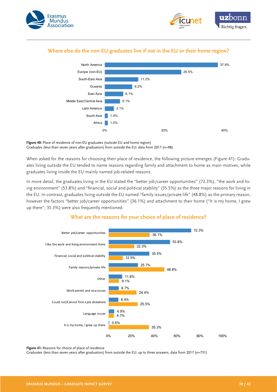



## **Where else do the non-EU graduates live if not in the EU or their home region?**



#### **Figure 40:** Place of residence of non-EU graduates (outside EU and home region) Graduates (less than seven years after graduation) from outside the EU; data from 2017 (n=98)

When asked for the reasons for choosing their place of residence, the following picture emerges (Figure 41): Graduates living outside the EU tended to name reasons regarding family and attachment to home as main motives, while graduates living inside the EU mainly named job-related reasons.

In more detail, the graduates living in the EU stated the "better job/career opportunities" (72.3%), "the work and living environment" (53.8%) and "financial, social and political stability" (35.5%) as the three major reasons for living in the EU. In contrast, graduates living outside the EU named "family issues/private life" (48.8%) as the primary reason, however the factors "better job/career opportunities" (36.1%) and attachment to their home ("It is my home, I grew up there"; 35.3%) were also frequently mentioned.



## **What are the reasons for your choice of place of residence?**

Figure 41: Reasons for choice of place of residence

Graduates (less than seven years after graduation) from outside the EU; up to three answers, data from 2017 (n=731)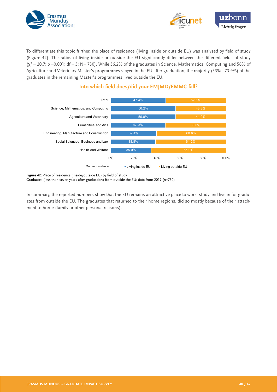



To differentiate this topic further, the place of residence (living inside or outside EU) was analysed by field of study (Figure 42). The ratios of living inside or outside the EU significantly differ between the different fields of study  $(\chi^2 = 20.7; p = 0.001; df = 5; N = 730)$ . While 56.2% of the graduates in Science, Mathematics, Computing and 56% of Agriculture and Veterinary Master's programmes stayed in the EU after graduation, the majority (53% - 73.9%) of the graduates in the remaining Master's programmes lived outside the EU.



## **Into which field does/did your EMJMD/EMMC fall?**

**Figure 42:** Place of residence (inside/outside EU) by field of study Graduates (less than seven years after graduation) from outside the EU; data from 2017 (n=730)

In summary, the reported numbers show that the EU remains an attractive place to work, study and live in for graduates from outside the EU. The graduates that returned to their home regions, did so mostly because of their attachment to home (family or other personal reasons).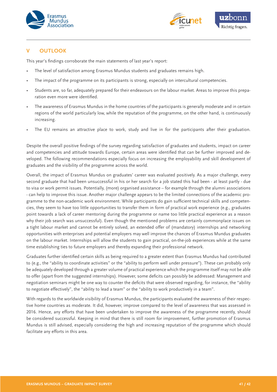



#### **V OUTLOOK**

This year's findings corroborate the main statements of last year's report:

- The level of satisfaction among Erasmus Mundus students and graduates remains high.
- The impact of the programme on its participants is strong, especially on intercultural competencies.
- Students are, so far, adequately prepared for their endeavours on the labour market. Areas to improve this preparation even more were identified.
- The awareness of Erasmus Mundus in the home countries of the participants is generally moderate and in certain regions of the world particularly low, while the reputation of the programme, on the other hand, is continuously increasing.
- The EU remains an attractive place to work, study and live in for the participants after their graduation.

Despite the overall positive findings of the survey regarding satisfaction of graduates and students, impact on career and competencies and attitude towards Europe, certain areas were identified that can be further improved and developed. The following recommendations especially focus on increasing the employability and skill development of graduates and the visibility of the programme across the world.

Overall, the impact of Erasmus Mundus on graduates' career was evaluated positively. As a major challenge, every second graduate that had been unsuccessful in his or her search for a job stated this had been - at least partly - due to visa or work permit issues. Potentially, (more) organised assistance – for example through the alumni associations - can help to improve this issue. Another major challenge appears to be the limited connections of the academic programme to the non-academic work environment. While participants do gain sufficient technical skills and competencies, they seem to have too little opportunities to transfer them in form of practical work experience (e.g., graduates point towards a lack of career mentoring during the programme or name too little practical experience as a reason why their job search was unsuccessful). Even though the mentioned problems are certainly commonplace issues on a tight labour market and cannot be entirely solved, an extended offer of (mandatory) internships and networking opportunities with enterprises and potential employers may well improve the chances of Erasmus Mundus graduates on the labour market. Internships will allow the students to gain practical, on-the-job experiences while at the same time establishing ties to future employers and thereby expanding their professional network.

Graduates further identified certain skills as being required to a greater extent than Erasmus Mundus had contributed to (e.g., the "ability to coordinate activities" or the "ability to perform well under pressure"). These can probably only be adequately developed through a greater volume of practical experience which the programme itself may not be able to offer (apart from the suggested internships). However, some deficits can possibly be addressed: Management and negotiation seminars might be one way to counter the deficits that were observed regarding, for instance, the "ability to negotiate effectively", the "ability to lead a team" or the "ability to work productively in a team".

With regards to the worldwide visibility of Erasmus Mundus, the participants evaluated the awareness of their respective home countries as moderate. It did, however, improve compared to the level of awareness that was assessed in 2016. Hence, any efforts that have been undertaken to improve the awareness of the programme recently, should be considered successful. Keeping in mind that there is still room for improvement, further promotion of Erasmus Mundus is still advised, especially considering the high and increasing reputation of the programme which should facilitate any efforts in this area.